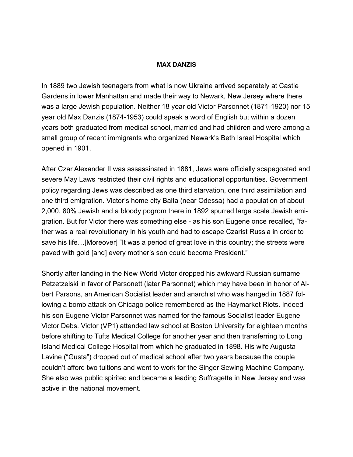## **MAX DANZIS**

In 1889 two Jewish teenagers from what is now Ukraine arrived separately at Castle Gardens in lower Manhattan and made their way to Newark, New Jersey where there was a large Jewish population. Neither 18 year old Victor Parsonnet (1871-1920) nor 15 year old Max Danzis (1874-1953) could speak a word of English but within a dozen years both graduated from medical school, married and had children and were among a small group of recent immigrants who organized Newark's Beth Israel Hospital which opened in 1901.

After Czar Alexander II was assassinated in 1881, Jews were officially scapegoated and severe May Laws restricted their civil rights and educational opportunities. Government policy regarding Jews was described as one third starvation, one third assimilation and one third emigration. Victor's home city Balta (near Odessa) had a population of about 2,000, 80% Jewish and a bloody pogrom there in 1892 spurred large scale Jewish emigration. But for Victor there was something else - as his son Eugene once recalled, "father was a real revolutionary in his youth and had to escape Czarist Russia in order to save his life…[Moreover] "It was a period of great love in this country; the streets were paved with gold [and] every mother's son could become President."

Shortly after landing in the New World Victor dropped his awkward Russian surname Petzetzelski in favor of Parsonett (later Parsonnet) which may have been in honor of Albert Parsons, an American Socialist leader and anarchist who was hanged in 1887 following a bomb attack on Chicago police remembered as the Haymarket Riots. Indeed his son Eugene Victor Parsonnet was named for the famous Socialist leader Eugene Victor Debs. Victor (VP1) attended law school at Boston University for eighteen months before shifting to Tufts Medical College for another year and then transferring to Long Island Medical College Hospital from which he graduated in 1898. His wife Augusta Lavine ("Gusta") dropped out of medical school after two years because the couple couldn't afford two tuitions and went to work for the Singer Sewing Machine Company. She also was public spirited and became a leading Suffragette in New Jersey and was active in the national movement.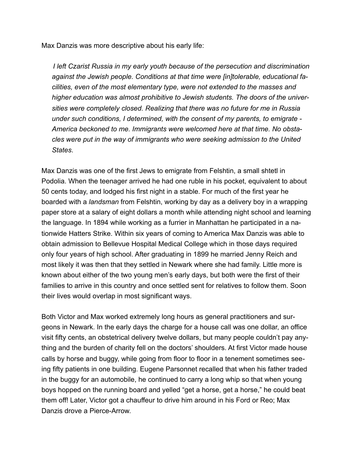Max Danzis was more descriptive about his early life:

 *I left Czarist Russia in my early youth because of the persecution and discrimination against the Jewish people. Conditions at that time were [in]tolerable, educational facilities, even of the most elementary type, were not extended to the masses and higher education was almost prohibitive to Jewish students. The doors of the universities were completely closed. Realizing that there was no future for me in Russia under such conditions, I determined, with the consent of my parents, to emigrate - America beckoned to me. Immigrants were welcomed here at that time. No obstacles were put in the way of immigrants who were seeking admission to the United States*.

Max Danzis was one of the first Jews to emigrate from Felshtin, a small shtetl in Podolia. When the teenager arrived he had one ruble in his pocket, equivalent to about 50 cents today, and lodged his first night in a stable. For much of the first year he boarded with a *landsman* from Felshtin, working by day as a delivery boy in a wrapping paper store at a salary of eight dollars a month while attending night school and learning the language. In 1894 while working as a furrier in Manhattan he participated in a nationwide Hatters Strike. Within six years of coming to America Max Danzis was able to obtain admission to Bellevue Hospital Medical College which in those days required only four years of high school. After graduating in 1899 he married Jenny Reich and most likely it was then that they settled in Newark where she had family. Little more is known about either of the two young men's early days, but both were the first of their families to arrive in this country and once settled sent for relatives to follow them. Soon their lives would overlap in most significant ways.

Both Victor and Max worked extremely long hours as general practitioners and surgeons in Newark. In the early days the charge for a house call was one dollar, an office visit fifty cents, an obstetrical delivery twelve dollars, but many people couldn't pay anything and the burden of charity fell on the doctors' shoulders. At first Victor made house calls by horse and buggy, while going from floor to floor in a tenement sometimes seeing fifty patients in one building. Eugene Parsonnet recalled that when his father traded in the buggy for an automobile, he continued to carry a long whip so that when young boys hopped on the running board and yelled "get a horse, get a horse," he could beat them off! Later, Victor got a chauffeur to drive him around in his Ford or Reo; Max Danzis drove a Pierce-Arrow.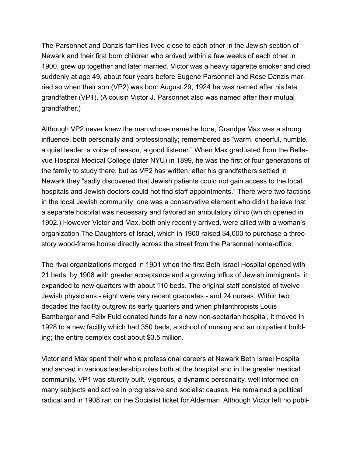The Parsonnet and Danzis families lived close to each other in the Jewish section of Newark and their first born children who arrived within a few weeks of each other in 1900, grew up together and later married. Victor was a heavy cigarette smoker and died suddenly at age 49, about four years before Eugene Parsonnet and Rose Danzis married so when their son (VP2) was born August 29, 1924 he was named after his late grandfather (VP1). (A cousin Victor J. Parsonnet also was named after their mutual grandfather.)

Although VP2 never knew the man whose name he bore, Grandpa Max was a strong influence, both personally and professionally; remembered as "warm, cheerful, humble, a quiet leader, a voice of reason, a good listener." When Max graduated from the Bellevue Hospital Medical College (later NYU) in 1899, he was the first of four generations of the family to study there, but as VP2 has written, after his grandfathers settled in Newark they "sadly discovered that Jewish patients could not gain access to the local hospitals and Jewish doctors could not find staff appointments." There were two factions in the local Jewish community: one was a conservative element who didn't believe that a separate hospital was necessary and favored an ambulatory clinic (which opened in 1902.) However Victor and Max, both only recently arrived, were allied with a woman's organization,The Daughters of Israel, which in 1900 raised \$4,000 to purchase a threestory wood-frame house directly across the street from the Parsonnet home-office.

The rival organizations merged in 1901 when the first Beth Israel Hospital opened with 21 beds; by 1908 with greater acceptance and a growing influx of Jewish immigrants, it expanded to new quarters with about 110 beds. The original staff consisted of twelve Jewish physicians - eight were very recent graduates - and 24 nurses. Within two decades the facility outgrew its early quarters and when philanthropists Louis Bamberger and Felix Fuld donated funds for a new non-sectarian hospital, it moved in 1928 to a new facility which had 350 beds, a school of nursing and an outpatient building; the entire complex cost about \$3.5 million.

Victor and Max spent their whole professional careers at Newark Beth Israel Hospital and served in various leadership roles both at the hospital and in the greater medical community. VP1 was sturdily built, vigorous, a dynamic personality, well informed on many subjects and active in progressive and socialist causes. He remained a political radical and in 1908 ran on the Socialist ticket for Alderman. Although Victor left no publi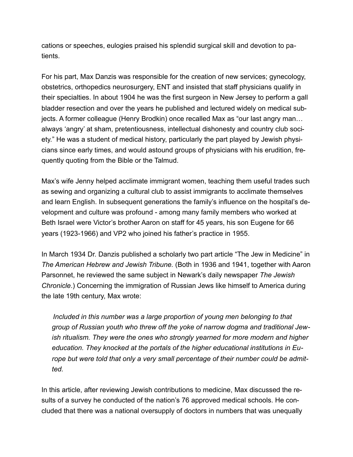cations or speeches, eulogies praised his splendid surgical skill and devotion to patients.

For his part, Max Danzis was responsible for the creation of new services; gynecology, obstetrics, orthopedics neurosurgery, ENT and insisted that staff physicians qualify in their specialties. In about 1904 he was the first surgeon in New Jersey to perform a gall bladder resection and over the years he published and lectured widely on medical subjects. A former colleague (Henry Brodkin) once recalled Max as "our last angry man… always 'angry' at sham, pretentiousness, intellectual dishonesty and country club society." He was a student of medical history, particularly the part played by Jewish physicians since early times, and would astound groups of physicians with his erudition, frequently quoting from the Bible or the Talmud.

Max's wife Jenny helped acclimate immigrant women, teaching them useful trades such as sewing and organizing a cultural club to assist immigrants to acclimate themselves and learn English. In subsequent generations the family's influence on the hospital's development and culture was profound - among many family members who worked at Beth Israel were Victor's brother Aaron on staff for 45 years, his son Eugene for 66 years (1923-1966) and VP2 who joined his father's practice in 1955.

In March 1934 Dr. Danzis published a scholarly two part article "The Jew in Medicine" in *The American Hebrew and Jewish Tribune.* (Both in 1936 and 1941, together with Aaron Parsonnet, he reviewed the same subject in Newark's daily newspaper *The Jewish Chronicle*.) Concerning the immigration of Russian Jews like himself to America during the late 19th century, Max wrote:

 *Included in this number was a large proportion of young men belonging to that group of Russian youth who threw off the yoke of narrow dogma and traditional Jewish ritualism. They were the ones who strongly yearned for more modern and higher education. They knocked at the portals of the higher educational institutions in Europe but were told that only a very small percentage of their number could be admitted.* 

In this article, after reviewing Jewish contributions to medicine, Max discussed the results of a survey he conducted of the nation's 76 approved medical schools. He concluded that there was a national oversupply of doctors in numbers that was unequally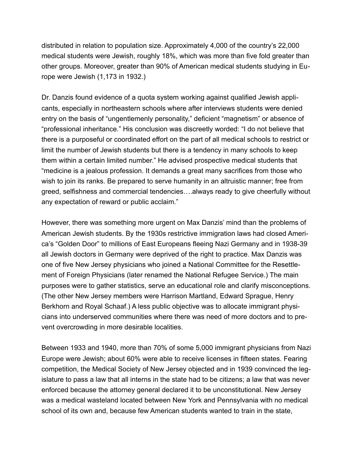distributed in relation to population size. Approximately 4,000 of the country's 22,000 medical students were Jewish, roughly 18%, which was more than five fold greater than other groups. Moreover, greater than 90% of American medical students studying in Europe were Jewish (1,173 in 1932.)

Dr. Danzis found evidence of a quota system working against qualified Jewish applicants, especially in northeastern schools where after interviews students were denied entry on the basis of "ungentlemenly personality," deficient "magnetism" or absence of "professional inheritance." His conclusion was discreetly worded: "I do not believe that there is a purposeful or coordinated effort on the part of all medical schools to restrict or limit the number of Jewish students but there is a tendency in many schools to keep them within a certain limited number." He advised prospective medical students that "medicine is a jealous profession. It demands a great many sacrifices from those who wish to join its ranks. Be prepared to serve humanity in an altruistic manner; free from greed, selfishness and commercial tendencies….always ready to give cheerfully without any expectation of reward or public acclaim."

However, there was something more urgent on Max Danzis' mind than the problems of American Jewish students. By the 1930s restrictive immigration laws had closed America's "Golden Door" to millions of East Europeans fleeing Nazi Germany and in 1938-39 all Jewish doctors in Germany were deprived of the right to practice. Max Danzis was one of five New Jersey physicians who joined a National Committee for the Resettlement of Foreign Physicians (later renamed the National Refugee Service.) The main purposes were to gather statistics, serve an educational role and clarify misconceptions. (The other New Jersey members were Harrison Martland, Edward Sprague, Henry Berkhorn and Royal Schaaf.) A less public objective was to allocate immigrant physicians into underserved communities where there was need of more doctors and to prevent overcrowding in more desirable localities.

Between 1933 and 1940, more than 70% of some 5,000 immigrant physicians from Nazi Europe were Jewish; about 60% were able to receive licenses in fifteen states. Fearing competition, the Medical Society of New Jersey objected and in 1939 convinced the legislature to pass a law that all interns in the state had to be citizens; a law that was never enforced because the attorney general declared it to be unconstitutional. New Jersey was a medical wasteland located between New York and Pennsylvania with no medical school of its own and, because few American students wanted to train in the state,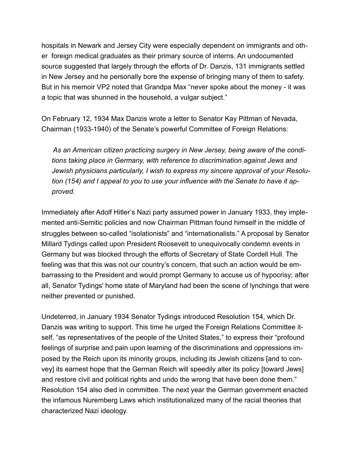hospitals in Newark and Jersey City were especially dependent on immigrants and other foreign medical graduates as their primary source of interns. An undocumented source suggested that largely through the efforts of Dr. Danzis, 131 immigrants settled in New Jersey and he personally bore the expense of bringing many of them to safety. But in his memoir VP2 noted that Grandpa Max "never spoke about the money - it was a topic that was shunned in the household, a vulgar subject."

On February 12, 1934 Max Danzis wrote a letter to Senator Kay Pittman of Nevada, Chairman (1933-1940) of the Senate's powerful Committee of Foreign Relations:

 *As an American citizen practicing surgery in New Jersey, being aware of the conditions taking place in Germany, with reference to discrimination against Jews and Jewish physicians particularly, I wish to express my sincere approval of your Resolution (154) and I appeal to you to use your influence with the Senate to have it approved.*

Immediately after Adolf Hitler's Nazi party assumed power in January 1933, they implemented anti-Semitic policies and now Chairman Pittman found himself in the middle of struggles between so-called "isolationists" and "internationalists." A proposal by Senator Millard Tydings called upon President Roosevelt to unequivocally condemn events in Germany but was blocked through the efforts of Secretary of State Cordell Hull. The feeling was that this was not our country's concern, that such an action would be embarrassing to the President and would prompt Germany to accuse us of hypocrisy; after all, Senator Tydings' home state of Maryland had been the scene of lynchings that were neither prevented or punished.

Undeterred, in January 1934 Senator Tydings introduced Resolution 154, which Dr. Danzis was writing to support. This time he urged the Foreign Relations Committee itself, "as representatives of the people of the United States," to express their "profound feelings of surprise and pain upon learning of the discriminations and oppressions imposed by the Reich upon its minority groups, including its Jewish citizens [and to convey] its earnest hope that the German Reich will speedily alter its policy [toward Jews] and restore civil and political rights and undo the wrong that have been done them." Resolution 154 also died in committee. The next year the German government enacted the infamous Nuremberg Laws which institutionalized many of the racial theories that characterized Nazi ideology.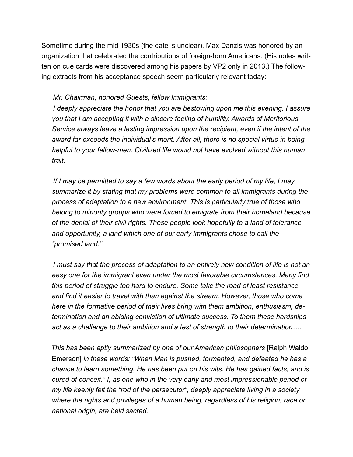Sometime during the mid 1930s (the date is unclear), Max Danzis was honored by an organization that celebrated the contributions of foreign-born Americans. (His notes written on cue cards were discovered among his papers by VP2 only in 2013.) The following extracts from his acceptance speech seem particularly relevant today:

## *Mr. Chairman, honored Guests, fellow Immigrants:*

 *I deeply appreciate the honor that you are bestowing upon me this evening. I assure you that I am accepting it with a sincere feeling of humility. Awards of Meritorious Service always leave a lasting impression upon the recipient, even if the intent of the award far exceeds the individual's merit. After all, there is no special virtue in being helpful to your fellow-men. Civilized life would not have evolved without this human trait.*

 *If I may be permitted to say a few words about the early period of my life, I may summarize it by stating that my problems were common to all immigrants during the process of adaptation to a new environment. This is particularly true of those who belong to minority groups who were forced to emigrate from their homeland because of the denial of their civil rights. These people look hopefully to a land of tolerance and opportunity, a land which one of our early immigrants chose to call the "promised land."*

 *I must say that the process of adaptation to an entirely new condition of life is not an easy one for the immigrant even under the most favorable circumstances. Many find this period of struggle too hard to endure. Some take the road of least resistance and find it easier to travel with than against the stream. However, those who come here in the formative period of their lives bring with them ambition, enthusiasm, determination and an abiding conviction of ultimate success. To them these hardships act as a challenge to their ambition and a test of strength to their determination….*

 *This has been aptly summarized by one of our American philosophers* [Ralph Waldo Emerson] *in these words: "When Man is pushed, tormented, and defeated he has a chance to learn something, He has been put on his wits. He has gained facts, and is cured of conceit." I, as one who in the very early and most impressionable period of my life keenly felt the "rod of the persecutor", deeply appreciate living in a society where the rights and privileges of a human being, regardless of his religion, race or national origin, are held sacred.*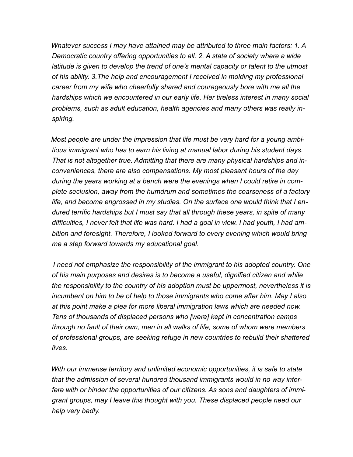*Whatever success I may have attained may be attributed to three main factors: 1. A Democratic country offering opportunities to all. 2. A state of society where a wide latitude is given to develop the trend of one's mental capacity or talent to the utmost of his ability. 3.The help and encouragement I received in molding my professional career from my wife who cheerfully shared and courageously bore with me all the hardships which we encountered in our early life. Her tireless interest in many social problems, such as adult education, health agencies and many others was really inspiring.*

 *Most people are under the impression that life must be very hard for a young ambitious immigrant who has to earn his living at manual labor during his student days. That is not altogether true. Admitting that there are many physical hardships and inconveniences, there are also compensations. My most pleasant hours of the day during the years working at a bench were the evenings when I could retire in complete seclusion, away from the humdrum and sometimes the coarseness of a factory life, and become engrossed in my studies. On the surface one would think that I endured terrific hardships but I must say that all through these years, in spite of many difficulties, I never felt that life was hard. I had a goal in view. I had youth, I had ambition and foresight. Therefore, I looked forward to every evening which would bring me a step forward towards my educational goal.*

 *I need not emphasize the responsibility of the immigrant to his adopted country. One of his main purposes and desires is to become a useful, dignified citizen and while the responsibility to the country of his adoption must be uppermost, nevertheless it is incumbent on him to be of help to those immigrants who come after him. May I also at this point make a plea for more liberal immigration laws which are needed now. Tens of thousands of displaced persons who [were] kept in concentration camps through no fault of their own, men in all walks of life, some of whom were members of professional groups, are seeking refuge in new countries to rebuild their shattered lives.*

 *With our immense territory and unlimited economic opportunities, it is safe to state that the admission of several hundred thousand immigrants would in no way interfere with or hinder the opportunities of our citizens. As sons and daughters of immigrant groups, may I leave this thought with you. These displaced people need our help very badly.*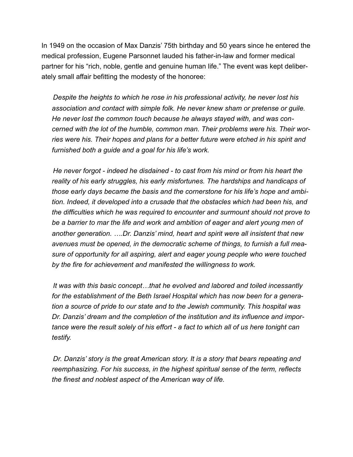In 1949 on the occasion of Max Danzis' 75th birthday and 50 years since he entered the medical profession, Eugene Parsonnet lauded his father-in-law and former medical partner for his "rich, noble, gentle and genuine human life." The event was kept deliberately small affair befitting the modesty of the honoree:

 *Despite the heights to which he rose in his professional activity, he never lost his association and contact with simple folk. He never knew sham or pretense or guile. He never lost the common touch because he always stayed with, and was concerned with the lot of the humble, common man. Their problems were his. Their worries were his. Their hopes and plans for a better future were etched in his spirit and furnished both a guide and a goal for his life's work.*

 *He never forgot - indeed he disdained - to cast from his mind or from his heart the reality of his early struggles, his early misfortunes. The hardships and handicaps of those early days became the basis and the cornerstone for his life's hope and ambition. Indeed, it developed into a crusade that the obstacles which had been his, and the difficulties which he was required to encounter and surmount should not prove to be a barrier to mar the life and work and ambition of eager and alert young men of another generation. ….Dr. Danzis' mind, heart and spirit were all insistent that new avenues must be opened, in the democratic scheme of things, to furnish a full measure of opportunity for all aspiring, alert and eager young people who were touched by the fire for achievement and manifested the willingness to work.*

 *It was with this basic concept…that he evolved and labored and toiled incessantly for the establishment of the Beth Israel Hospital which has now been for a generation a source of pride to our state and to the Jewish community. This hospital was Dr. Danzis' dream and the completion of the institution and its influence and importance were the result solely of his effort - a fact to which all of us here tonight can testify.*

 *Dr. Danzis' story is the great American story. It is a story that bears repeating and reemphasizing. For his success, in the highest spiritual sense of the term, reflects the finest and noblest aspect of the American way of life.*